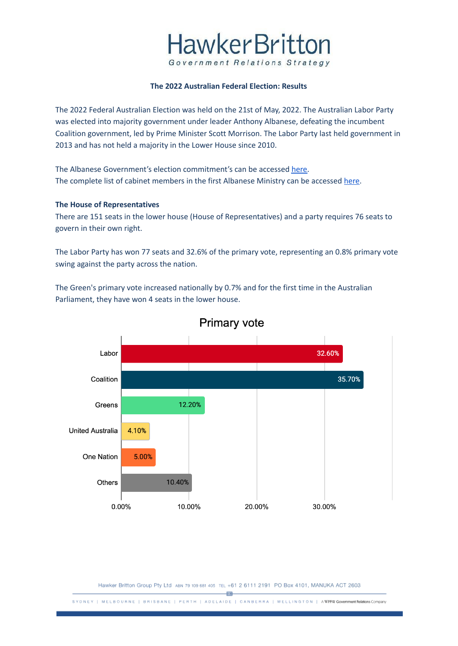### **HawkerBritton** Government Relations Strategy

#### **The 2022 Australian Federal Election: Results**

The 2022 Federal Australian Election was held on the 21st of May, 2022. The Australian Labor Party was elected into majority government under leader Anthony Albanese, defeating the incumbent Coalition government, led by Prime Minister Scott Morrison. The Labor Party last held government in 2013 and has not held a majority in the Lower House since 2010.

The Albanese Government's election commitment's can be accessed [here.](https://www.hawkerbritton.com/blog/2022/05/23/the-2022-australian-federal-election-results-and-policies%ef%bf%bc/) The complete list of cabinet members in the first Albanese Ministry can be accessed [here](https://www.hawkerbritton.com/blog/2022/05/23/the-2022-australian-federal-election-results-and-policies%ef%bf%bc/).

#### **The House of Representatives**

There are 151 seats in the lower house (House of Representatives) and a party requires 76 seats to govern in their own right.

The Labor Party has won 77 seats and 32.6% of the primary vote, representing an 0.8% primary vote swing against the party across the nation.

The Green's primary vote increased nationally by 0.7% and for the first time in the Australian Parliament, they have won 4 seats in the lower house.



### **Primary vote**

Hawker Britton Group Pty Ltd ABN 79 109 681 405 TEL +61 2 6111 2191 PO Box 4101, MANUKA ACT 2603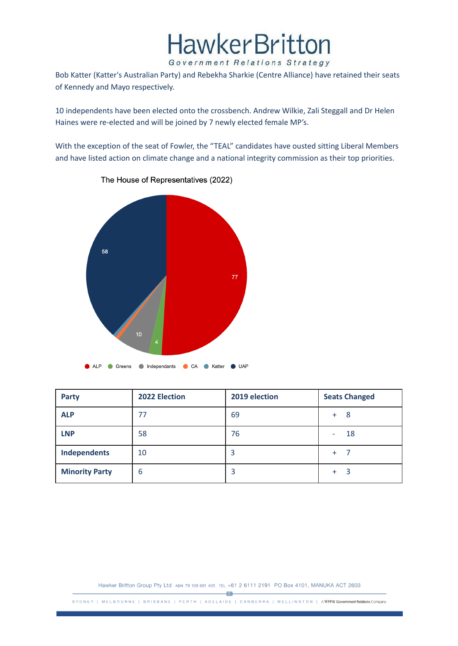## **HawkerBritton**

Government Relations Strategy

Bob Katter (Katter's Australian Party) and Rebekha Sharkie (Centre Alliance) have retained their seats of Kennedy and Mayo respectively.

10 independents have been elected onto the crossbench. Andrew Wilkie, Zali Steggall and Dr Helen Haines were re-elected and will be joined by 7 newly elected female MP's.

With the exception of the seat of Fowler, the "TEAL" candidates have ousted sitting Liberal Members and have listed action on climate change and a national integrity commission as their top priorities.



The House of Representatives (2022)

| <b>Party</b>          | 2022 Election | 2019 election | <b>Seats Changed</b> |
|-----------------------|---------------|---------------|----------------------|
| <b>ALP</b>            | 77            | 69            | -8<br>$+$            |
| <b>LNP</b>            | 58            | 76            | 18                   |
| <b>Independents</b>   | 10            | כ             | $\ddot{}$            |
| <b>Minority Party</b> | 6             | 3             | $+$                  |

Hawker Britton Group Pty Ltd ABN 79 109 681 405 TEL +61 2 6111 2191 PO Box 4101, MANUKA ACT 2603

 $-\overline{EB}$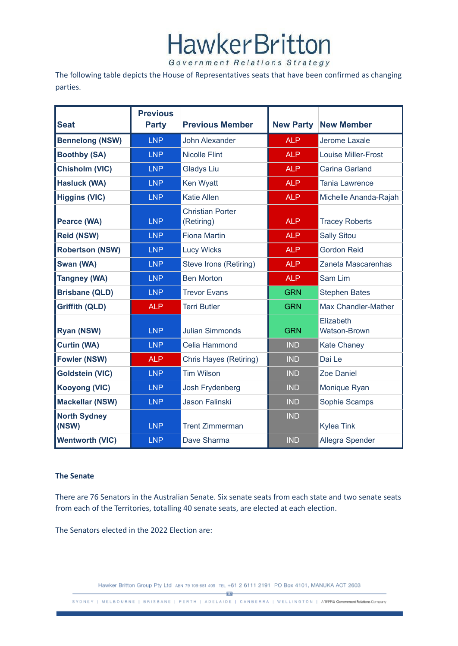## **HawkerBritton**

Government Relations Strategy

The following table depicts the House of Representatives seats that have been confirmed as changing parties.

| <b>Seat</b>                  | <b>Previous</b><br><b>Party</b> | <b>Previous Member</b>                | <b>New Party</b> | <b>New Member</b>                |  |
|------------------------------|---------------------------------|---------------------------------------|------------------|----------------------------------|--|
| <b>Bennelong (NSW)</b>       | <b>LNP</b>                      | <b>John Alexander</b>                 | <b>ALP</b>       | Jerome Laxale                    |  |
| <b>Boothby (SA)</b>          | <b>LNP</b>                      | <b>Nicolle Flint</b>                  | <b>ALP</b>       | <b>Louise Miller-Frost</b>       |  |
| <b>Chisholm (VIC)</b>        | <b>LNP</b>                      | <b>Gladys Liu</b>                     | <b>ALP</b>       | Carina Garland                   |  |
| <b>Hasluck (WA)</b>          | <b>LNP</b>                      | Ken Wyatt                             | <b>ALP</b>       | <b>Tania Lawrence</b>            |  |
| <b>Higgins (VIC)</b>         | <b>LNP</b>                      | <b>Katie Allen</b>                    | <b>ALP</b>       | Michelle Ananda-Rajah            |  |
| Pearce (WA)                  | <b>LNP</b>                      | <b>Christian Porter</b><br>(Retiring) | <b>ALP</b>       | <b>Tracey Roberts</b>            |  |
| <b>Reid (NSW)</b>            | <b>LNP</b>                      | <b>Fiona Martin</b>                   | <b>ALP</b>       | <b>Sally Sitou</b>               |  |
| <b>Robertson (NSW)</b>       | <b>LNP</b>                      | <b>Lucy Wicks</b>                     | <b>ALP</b>       | <b>Gordon Reid</b>               |  |
| Swan (WA)                    | <b>LNP</b>                      | Steve Irons (Retiring)                | <b>ALP</b>       | Zaneta Mascarenhas               |  |
| <b>Tangney (WA)</b>          | <b>LNP</b>                      | <b>Ben Morton</b>                     | <b>ALP</b>       | Sam Lim                          |  |
| <b>Brisbane (QLD)</b>        | <b>LNP</b>                      | <b>Trevor Evans</b>                   | <b>GRN</b>       | <b>Stephen Bates</b>             |  |
| <b>Griffith (QLD)</b>        | <b>ALP</b>                      | <b>Terri Butler</b>                   | <b>GRN</b>       | <b>Max Chandler-Mather</b>       |  |
| Ryan (NSW)                   | <b>LNP</b>                      | <b>Julian Simmonds</b>                | <b>GRN</b>       | Elizabeth<br><b>Watson-Brown</b> |  |
| <b>Curtin (WA)</b>           | <b>LNP</b>                      | Celia Hammond                         | <b>IND</b>       | <b>Kate Chaney</b>               |  |
| <b>Fowler (NSW)</b>          | <b>ALP</b>                      | Chris Hayes (Retiring)                | <b>IND</b>       | Dai Le                           |  |
| <b>Goldstein (VIC)</b>       | <b>LNP</b>                      | <b>Tim Wilson</b>                     | <b>IND</b>       | <b>Zoe Daniel</b>                |  |
| <b>Kooyong (VIC)</b>         | <b>LNP</b>                      | Josh Frydenberg                       | <b>IND</b>       | Monique Ryan                     |  |
| <b>Mackellar (NSW)</b>       | <b>LNP</b>                      | Jason Falinski                        | <b>IND</b>       | Sophie Scamps                    |  |
| <b>North Sydney</b><br>(NSW) | <b>LNP</b>                      | <b>Trent Zimmerman</b>                | <b>IND</b>       | <b>Kylea Tink</b>                |  |
| <b>Wentworth (VIC)</b>       | <b>LNP</b>                      | Dave Sharma                           | <b>IND</b>       | Allegra Spender                  |  |

#### **The Senate**

There are 76 Senators in the Australian Senate. Six senate seats from each state and two senate seats from each of the Territories, totalling 40 senate seats, are elected at each election.

The Senators elected in the 2022 Election are:

Hawker Britton Group Pty Ltd ABN 79 109 681 405 TEL +61 2 6111 2191 PO Box 4101, MANUKA ACT 2603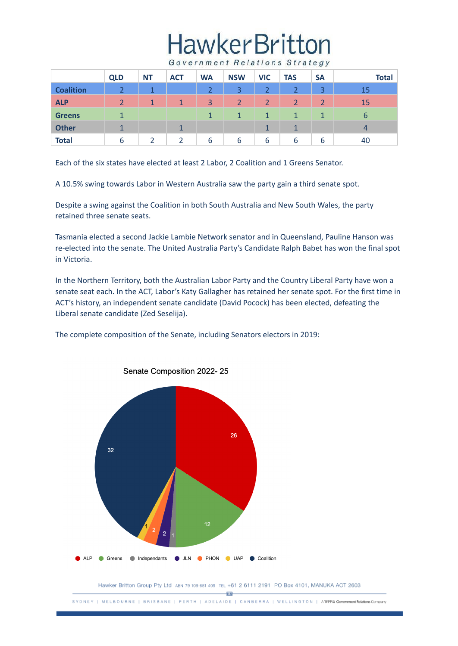# **HawkerBritton**

Government Relations Strategy

|                  | <b>QLD</b>    | <b>NT</b>      | <b>ACT</b>   | <b>WA</b> | <b>NSW</b>     | <b>VIC</b>     | <b>TAS</b>           | <b>SA</b>      | <b>Total</b> |
|------------------|---------------|----------------|--------------|-----------|----------------|----------------|----------------------|----------------|--------------|
| <b>Coalition</b> |               | $\overline{ }$ |              | າ         | 3              | っ              |                      | $\overline{a}$ | 15           |
| <b>ALP</b>       | $\mathcal{D}$ | 1              | $\mathbf{1}$ | 3         | $\overline{2}$ | $\overline{2}$ | $\mathcal{D}$        | $\overline{2}$ | 15           |
| <b>Greens</b>    |               |                |              |           |                | 1              |                      |                | 6            |
| <b>Other</b>     |               |                |              |           |                | 1              | $\blacktriangleleft$ |                | 4            |
| <b>Total</b>     | 6             |                |              | 6         | 6              | 6              | 6                    | 6              | 40           |

Each of the six states have elected at least 2 Labor, 2 Coalition and 1 Greens Senator.

A 10.5% swing towards Labor in Western Australia saw the party gain a third senate spot.

Despite a swing against the Coalition in both South Australia and New South Wales, the party retained three senate seats.

Tasmania elected a second Jackie Lambie Network senator and in Queensland, Pauline Hanson was re-elected into the senate. The United Australia Party's Candidate Ralph Babet has won the final spot in Victoria.

In the Northern Territory, both the Australian Labor Party and the Country Liberal Party have won a senate seat each. In the ACT, Labor's Katy Gallagher has retained her senate spot. For the first time in ACT's history, an independent senate candidate (David Pocock) has been elected, defeating the Liberal senate candidate (Zed Seselija).

The complete composition of the Senate, including Senators electors in 2019:



Senate Composition 2022-25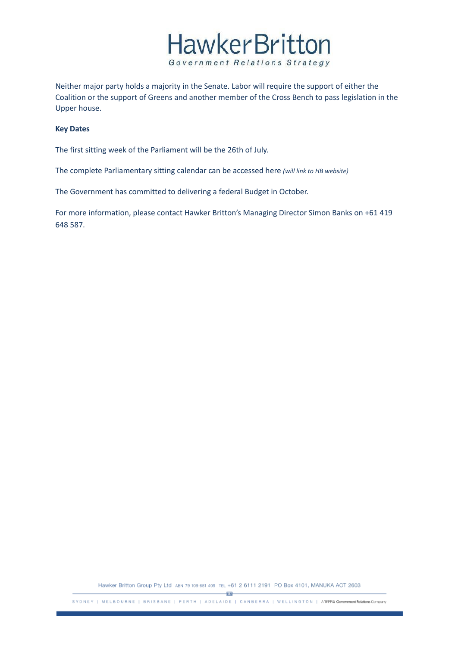

Neither major party holds a majority in the Senate. Labor will require the support of either the Coalition or the support of Greens and another member of the Cross Bench to pass legislation in the Upper house.

#### **Key Dates**

The first sitting week of the Parliament will be the 26th of July.

The complete Parliamentary sitting calendar can be accessed here *(will link to HB website)*

The Government has committed to delivering a federal Budget in October.

For more information, please contact Hawker Britton's Managing Director Simon Banks on +61 419 648 587.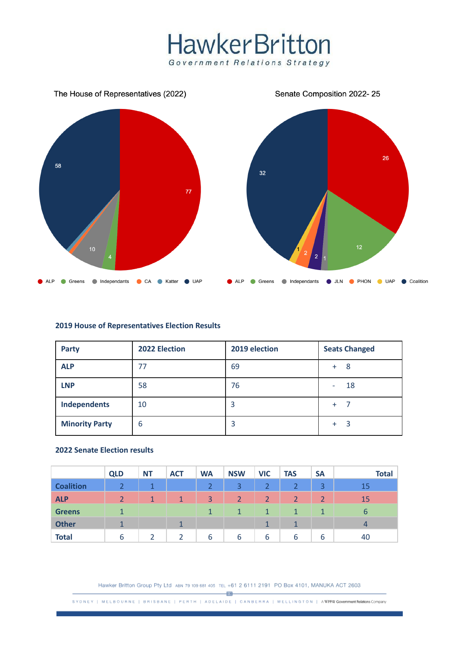### **HawkerBritton** Government Relations Strategy



#### **2019 House of Representatives Election Results**

| <b>Party</b>          | 2022 Election | 2019 election | <b>Seats Changed</b> |  |  |
|-----------------------|---------------|---------------|----------------------|--|--|
| <b>ALP</b>            | 77            | 69            | -8<br>$+$            |  |  |
| <b>LNP</b>            | 58            | 76            | 18                   |  |  |
| Independents          | 10            | 3             | $+$                  |  |  |
| <b>Minority Party</b> | 6             | 3             | 3<br>$+$             |  |  |

#### **2022 Senate Election results**

|                  | <b>QLD</b>           | <b>NT</b>      | <b>ACT</b>     | <b>WA</b>      | <b>NSW</b> | <b>VIC</b>           | <b>TAS</b>     | <b>SA</b>      | <b>Total</b>   |
|------------------|----------------------|----------------|----------------|----------------|------------|----------------------|----------------|----------------|----------------|
| <b>Coalition</b> |                      | $\overline{ }$ |                | $\overline{2}$ | 3          | ำ                    |                | 3              | 15             |
| <b>ALP</b>       |                      | $\mathbf{1}$   | 1 <sup>1</sup> | 3              | 2          | 2                    | $\overline{2}$ | $\overline{2}$ | 15             |
| <b>Greens</b>    | $\blacktriangleleft$ |                |                |                | 1          | $\blacktriangleleft$ | $\mathbf{1}$   | 1              | 6              |
| <b>Other</b>     | $\mathbf{1}$         |                | $\mathbf{1}$   |                |            |                      | $\mathbf 1$    |                | $\overline{4}$ |
| <b>Total</b>     | 6                    |                |                | 6              | 6          | 6                    | 6              | 6              | 40             |

Hawker Britton Group Pty Ltd ABN 79 109 681 405 TEL +61 2 6111 2191 PO Box 4101, MANUKA ACT 2603

 $\overline{AB}$